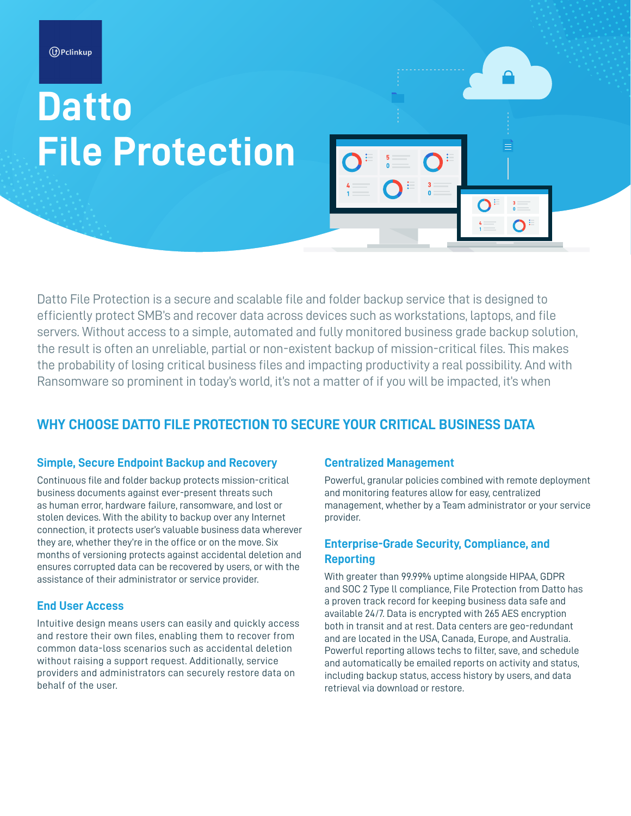# **Datto File Protection**

Datto File Protection is a secure and scalable file and folder backup service that is designed to efficiently protect SMB's and recover data across devices such as workstations, laptops, and file servers. Without access to a simple, automated and fully monitored business grade backup solution, the result is often an unreliable, partial or non-existent backup of mission-critical files. This makes the probability of losing critical business files and impacting productivity a real possibility. And with Ransomware so prominent in today's world, it's not a matter of if you will be impacted, it's when

### **WHY CHOOSE DATTO FILE PROTECTION TO SECURE YOUR CRITICAL BUSINESS DATA**

#### **Simple, Secure Endpoint Backup and Recovery**

Continuous file and folder backup protects mission-critical business documents against ever-present threats such as human error, hardware failure, ransomware, and lost or stolen devices. With the ability to backup over any Internet connection, it protects user's valuable business data wherever they are, whether they're in the office or on the move. Six months of versioning protects against accidental deletion and ensures corrupted data can be recovered by users, or with the assistance of their administrator or service provider.

#### **End User Access**

Intuitive design means users can easily and quickly access and restore their own files, enabling them to recover from common data-loss scenarios such as accidental deletion without raising a support request. Additionally, service providers and administrators can securely restore data on behalf of the user.

#### **Centralized Management**

Powerful, granular policies combined with remote deployment and monitoring features allow for easy, centralized management, whether by a Team administrator or your service provider.

 $\overline{O}$ 

#### **Enterprise-Grade Security, Compliance, and Reporting**

With greater than 99.99% uptime alongside HIPAA, GDPR and SOC 2 Type ll compliance, File Protection from Datto has a proven track record for keeping business data safe and available 24/7. Data is encrypted with 265 AES encryption both in transit and at rest. Data centers are geo-redundant and are located in the USA, Canada, Europe, and Australia. Powerful reporting allows techs to filter, save, and schedule and automatically be emailed reports on activity and status, including backup status, access history by users, and data retrieval via download or restore.